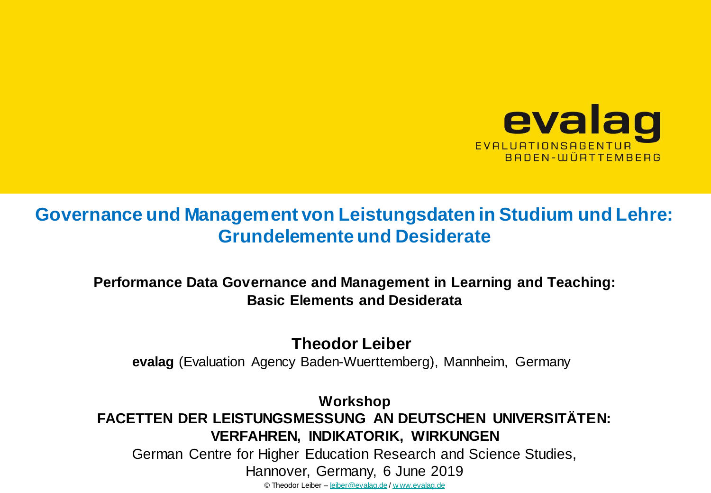

## **Governance und Management von Leistungsdaten in Studium und Lehre: Grundelemente und Desiderate**

**Performance Data Governance and Management in Learning and Teaching: Basic Elements and Desiderata**

**Theodor Leiber**

**evalag** (Evaluation Agency Baden-Wuerttemberg), Mannheim, Germany

**Workshop FACETTEN DER LEISTUNGSMESSUNG AN DEUTSCHEN UNIVERSITÄTEN: VERFAHREN, INDIKATORIK, WIRKUNGEN**

German Centre for Higher Education Research and Science Studies,

Hannover, Germany, 6 June 2019

© Theodor Leiber – [leiber@evalag.de](mailto:leiber@evalag.de) / [w ww.evalag.de](http://www.evalag.de/)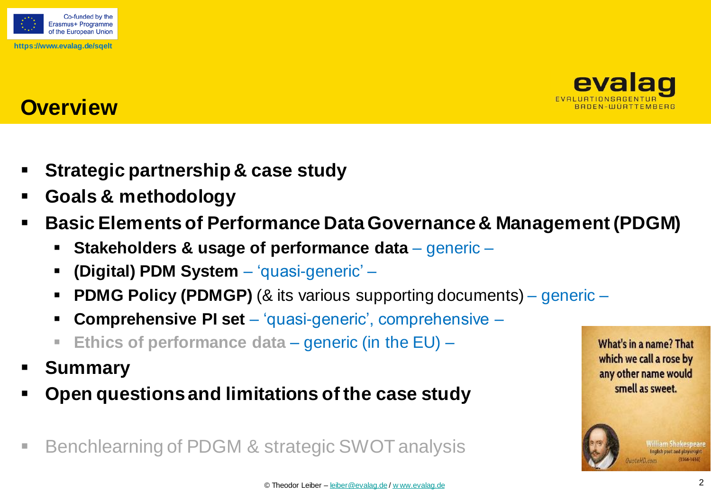



## **Overview**

- **Strategic partnership & case study**
- **Goals & methodology**
- **Basic Elements of Performance Data Governance & Management (PDGM)**
	- **Stakeholders & usage of performance data**  generic –
	- **(Digital) PDM System**  'quasi-generic' –
	- **PDMG Policy (PDMGP)** (& its various supporting documents) generic –
	- **Comprehensive PI set**  'quasi-generic', comprehensive –
	- **Ethics of performance data**  generic (in the EU) –
- **Summary**
- **Open questions and limitations of the case study**
- Benchlearning of PDGM & strategic SWOT analysis

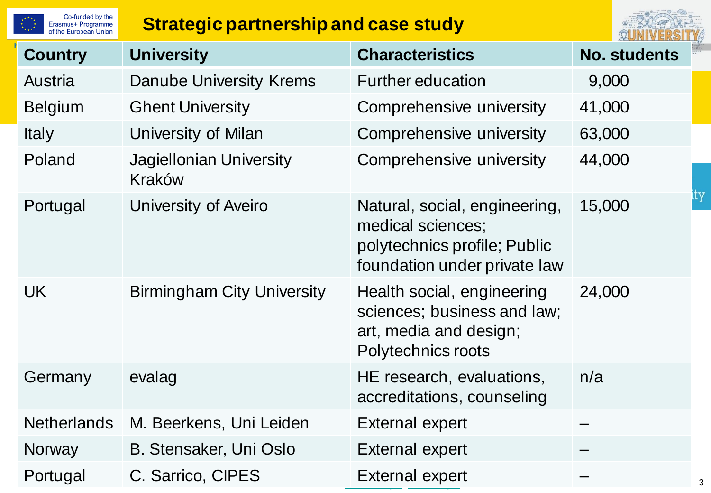| Co-funded by the<br>Erasmus+ Programme<br>of the European Union | <b>Strategic partnership and case study</b> |                                                                                                                    |                     |  |
|-----------------------------------------------------------------|---------------------------------------------|--------------------------------------------------------------------------------------------------------------------|---------------------|--|
| <b>Country</b>                                                  | <b>University</b>                           | <b>Characteristics</b>                                                                                             | <b>No. students</b> |  |
| Austria                                                         | Danube University Krems                     | <b>Further education</b>                                                                                           | 9,000               |  |
| <b>Belgium</b>                                                  | <b>Ghent University</b>                     | Comprehensive university                                                                                           | 41,000              |  |
| <b>Italy</b>                                                    | University of Milan                         | Comprehensive university                                                                                           | 63,000              |  |
| Poland                                                          | <b>Jagiellonian University</b><br>Kraków    | Comprehensive university                                                                                           | 44,000              |  |
| Portugal                                                        | University of Aveiro                        | Natural, social, engineering,<br>medical sciences;<br>polytechnics profile; Public<br>foundation under private law | 15,000              |  |
| UK.                                                             | <b>Birmingham City University</b>           | Health social, engineering<br>sciences; business and law;<br>art, media and design;<br>Polytechnics roots          | 24,000              |  |
| Germany                                                         | evalag                                      | HE research, evaluations,<br>accreditations, counseling                                                            | n/a                 |  |
| <b>Netherlands</b>                                              | M. Beerkens, Uni Leiden                     | <b>External expert</b>                                                                                             |                     |  |
| <b>Norway</b>                                                   | B. Stensaker, Uni Oslo                      | <b>External expert</b>                                                                                             |                     |  |
| Portugal                                                        | C. Sarrico, CIPES                           | External expert                                                                                                    |                     |  |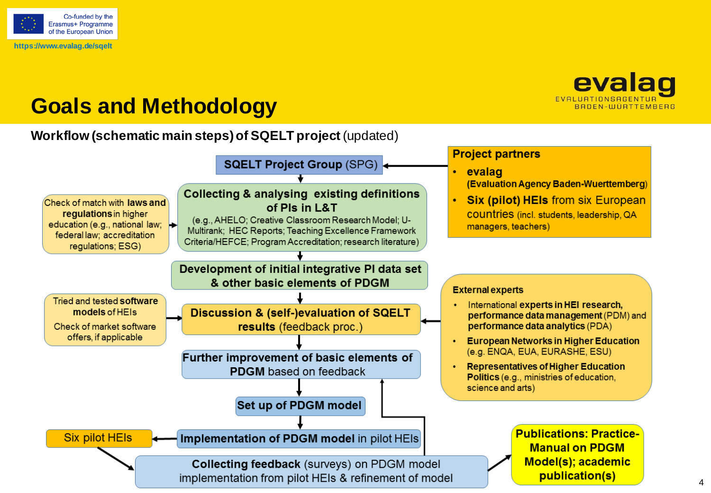

## evalag BADEN-WÜRTTEMBERG

# **Goals and Methodology**

#### **Workflow (schematic main steps) of SQELT project** (updated)

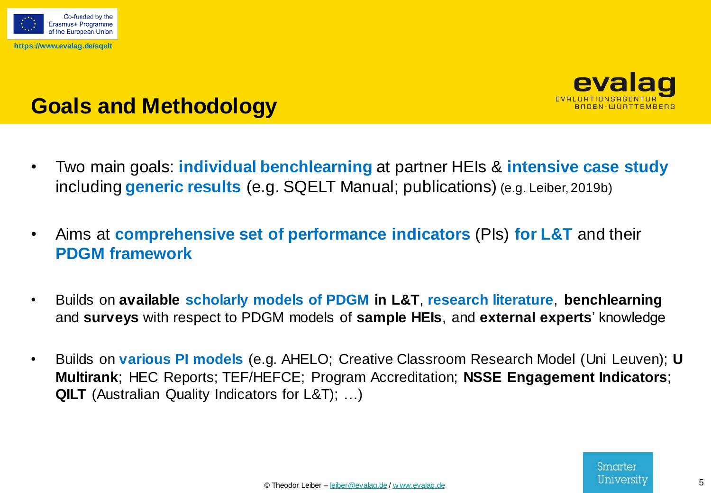



# **Goals and Methodology**

- Two main goals: **individual benchlearning** at partner HEIs & **intensive case study**  including **generic results** (e.g. SQELT Manual; publications) (e.g. Leiber, 2019b)
- Aims at **comprehensive set of performance indicators** (PIs) **for L&T** and their **PDGM framework**
- Builds on **available scholarly models of PDGM in L&T**, **research literature**, **benchlearning** and **surveys** with respect to PDGM models of **sample HEIs**, and **external experts**' knowledge
- Builds on **various PI models** (e.g. AHELO; Creative Classroom Research Model (Uni Leuven); **U Multirank**; HEC Reports; TEF/HEFCE; Program Accreditation; **NSSE Engagement Indicators**; **QILT** (Australian Quality Indicators for L&T); …)

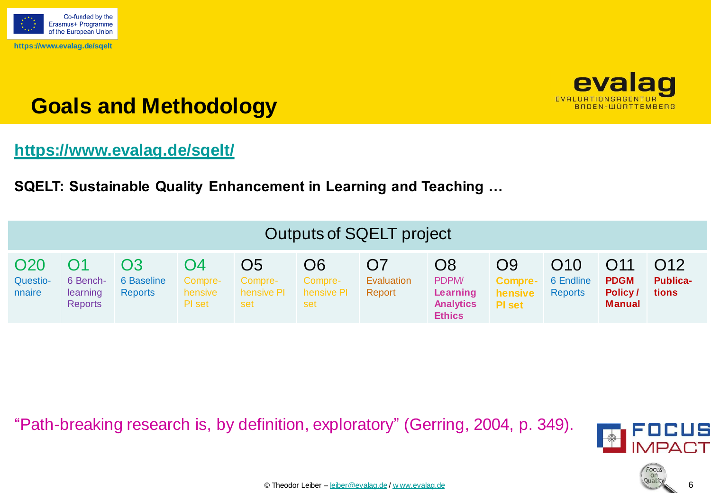



# **Goals and Methodology**

### **<https://www.evalag.de/sqelt/>**

**SQELT: Sustainable Quality Enhancement in Learning and Teaching …**

| <b>Outputs of SQELT project</b>       |                                        |                                    |                                    |                                                |                                    |                            |                                                                          |                                                  |                                    |                                                            |                                             |
|---------------------------------------|----------------------------------------|------------------------------------|------------------------------------|------------------------------------------------|------------------------------------|----------------------------|--------------------------------------------------------------------------|--------------------------------------------------|------------------------------------|------------------------------------------------------------|---------------------------------------------|
| O <sub>20</sub><br>Questio-<br>nnaire | 6 Bench-<br>learning<br><b>Reports</b> | Ο3<br>6 Baseline<br><b>Reports</b> | O4<br>Compre-<br>hensive<br>PI set | O <sub>5</sub><br>Compre-<br>hensive PI<br>set | O6<br>Compre-<br>hensive PI<br>set | O7<br>Evaluation<br>Report | O <sub>8</sub><br>PDPM/<br>Learning<br><b>Analytics</b><br><b>Ethics</b> | O9<br><b>Compre-</b><br>hensive<br><b>PI</b> set | O10<br>6 Endline<br><b>Reports</b> | O <sub>11</sub><br><b>PDGM</b><br>Policy/<br><b>Manual</b> | O <sub>12</sub><br><b>Publica-</b><br>tions |

"Path-breaking research is, by definition, exploratory" (Gerring, 2004, p. 349).



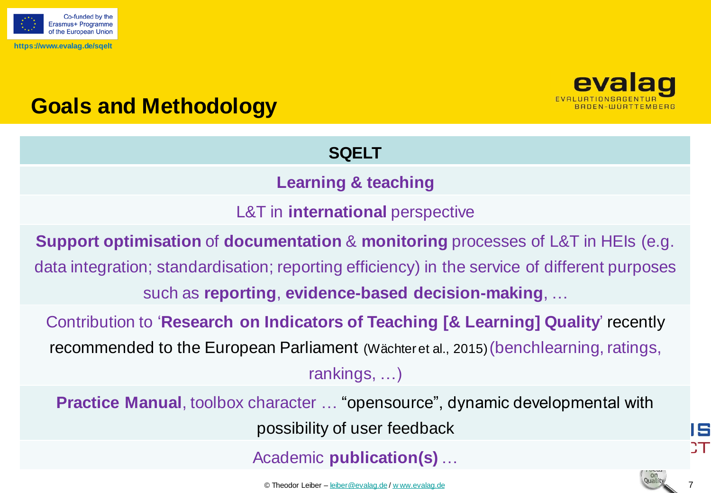



# **Goals and Methodology**

### **SQELT**

### **Learning & teaching**

L&T in **international** perspective

**Support optimisation** of **documentation** & **monitoring** processes of L&T in HEIs (e.g. data integration; standardisation; reporting efficiency) in the service of different purposes such as **reporting**, **evidence-based decision-making**, …

Contribution to '**Research on Indicators of Teaching [& Learning] Quality**' recently recommended to the European Parliament (Wächteret al., 2015)(benchlearning, ratings, rankings, …)

**Practice Manual**, toolbox character … "opensource", dynamic developmental with possibility of user feedback

Academic **publication(s)** …

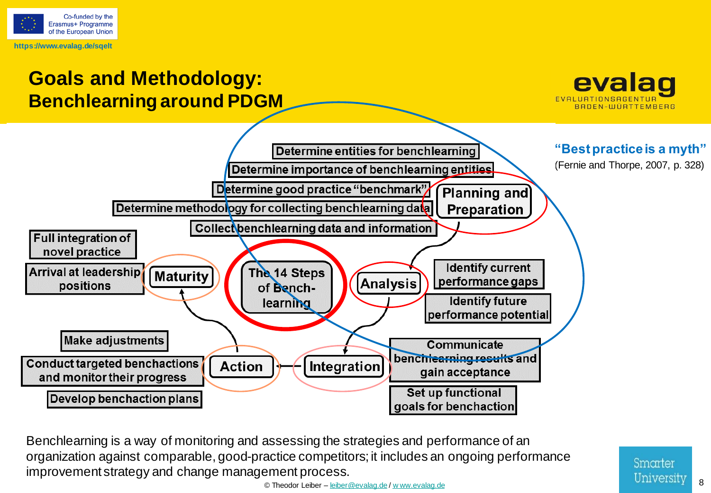



Benchlearning is a way of monitoring and assessing the strategies and performance of an organization against comparable, good-practice competitors; it includes an ongoing performance improvement strategy and change management process.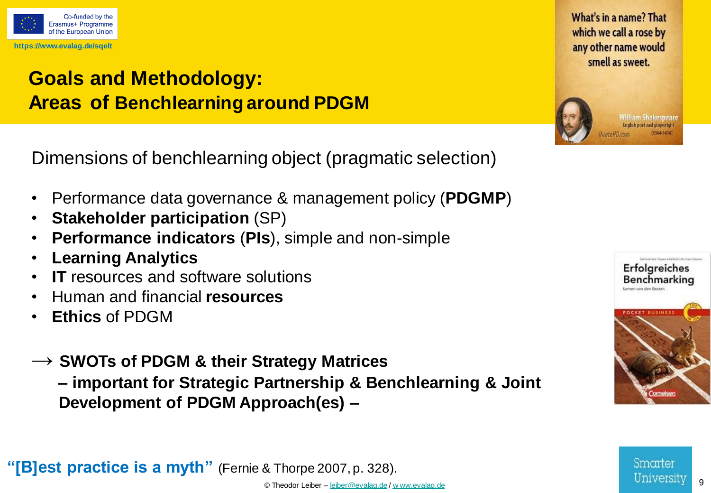

## **Goals and Methodology: Areas of Benchlearning around PDGM**

Dimensions of benchlearning object (pragmatic selection)

- Performance data governance & management policy (**PDGMP**)
- **Stakeholder participation** (SP)
- **Performance indicators** (**PIs**), simple and non-simple
- **Learning Analytics**
- **IT** resources and software solutions
- Human and financial **resources**
- **Ethics** of PDGM
- **→ SWOTs of PDGM & their Strategy Matrices**

**– important for Strategic Partnership & Benchlearning & Joint Development of PDGM Approach(es) –**

**"[B]est practice is a myth"** (Fernie & Thorpe 2007, p. 328).





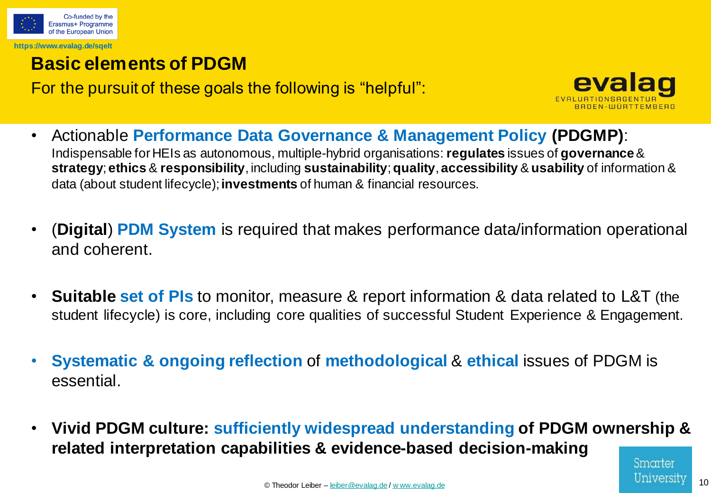

## **Basic elements of PDGM**

For the pursuit of these goals the following is "helpful":



- Actionable **Performance Data Governance & Management Policy (PDGMP)**: Indispensable for HEIs as autonomous, multiple-hybrid organisations: **regulates** issues of **governance**& **strategy**; **ethics** & **responsibility**, including **sustainability**; **quality**, **accessibility** & **usability** of information & data (about student lifecycle); **investments** of human & financial resources.
- (**Digital**) **PDM System** is required that makes performance data/information operational and coherent.
- **Suitable set of PIs** to monitor, measure & report information & data related to L&T (the student lifecycle) is core, including core qualities of successful Student Experience & Engagement.
- **Systematic & ongoing reflection** of **methodological** & **ethical** issues of PDGM is essential.
- **Vivid PDGM culture: sufficiently widespread understanding of PDGM ownership & related interpretation capabilities & evidence-based decision-making**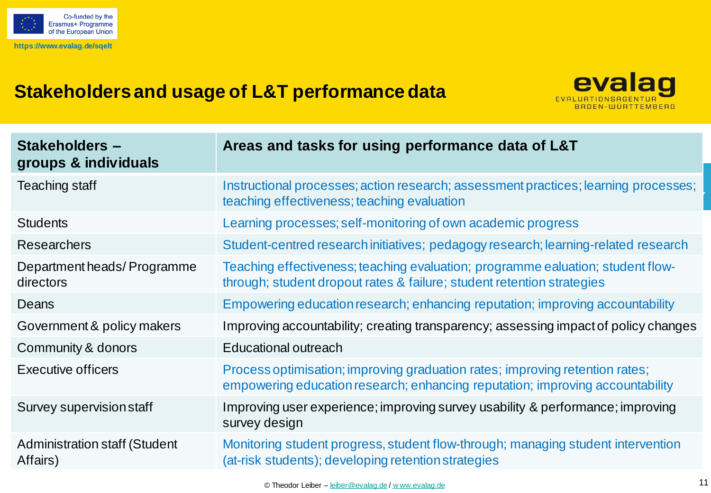

## **Stakeholders and usage of L&T performancedata**



| <b>Stakeholders -</b><br>groups & individuals | Areas and tasks for using performance data of L&T                                                                                                             |
|-----------------------------------------------|---------------------------------------------------------------------------------------------------------------------------------------------------------------|
| <b>Teaching staff</b>                         | Instructional processes; action research; assessment practices; learning processes;<br>teaching effectiveness; teaching evaluation                            |
| <b>Students</b>                               | Learning processes; self-monitoring of own academic progress                                                                                                  |
| <b>Researchers</b>                            | Student-centred research initiatives; pedagogy research; learning-related research                                                                            |
| Department heads/Programme<br>directors       | Teaching effectiveness; teaching evaluation; programme ealuation; student flow-<br>through; student dropout rates & failure; student retention strategies     |
| Deans                                         | Empowering education research; enhancing reputation; improving accountability                                                                                 |
| Government & policy makers                    | Improving accountability; creating transparency; assessing impact of policy changes                                                                           |
| Community & donors                            | Educational outreach                                                                                                                                          |
| Executive officers                            | Process optimisation; improving graduation rates; improving retention rates;<br>empowering education research; enhancing reputation; improving accountability |
| Survey supervision staff                      | Improving user experience; improving survey usability & performance; improving<br>survey design                                                               |
| Administration staff (Student<br>Affairs)     | Monitoring student progress, student flow-through; managing student intervention<br>(at-risk students); developing retention strategies                       |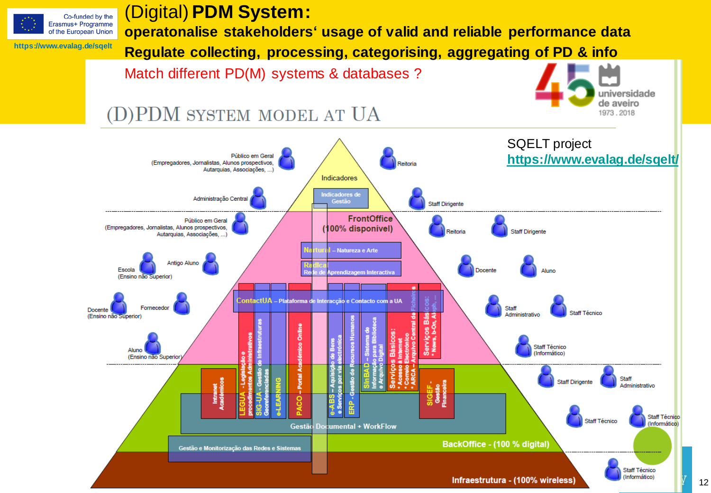

### (Digital) **PDM System:**

**operatonalise stakeholders' usage of valid and reliable performance data**

**Regulate collecting, processing, categorising, aggregating of PD & info**

Match different PD(M) systems & databases ?



## (D)PDM SYSTEM MODEL AT UA

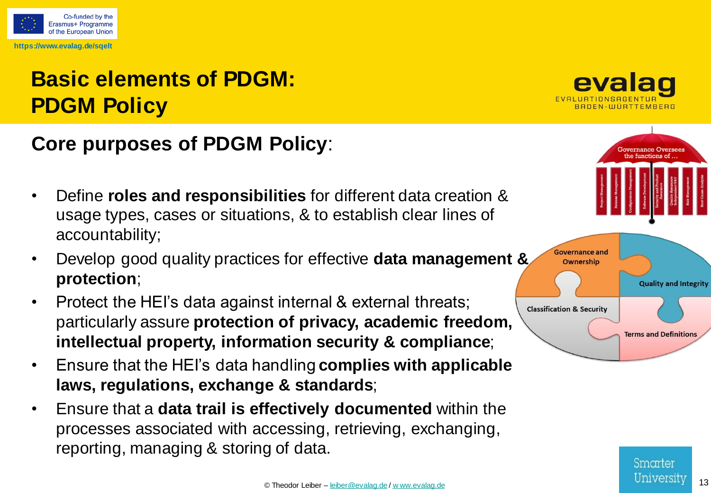

# **Basic elements of PDGM: PDGM Policy**

## **Core purposes of PDGM Policy**:

- Define **roles and responsibilities** for different data creation & usage types, cases or situations, & to establish clear lines of accountability;
- Develop good quality practices for effective **data management & protection**;
- Protect the HEI's data against internal & external threats; particularly assure **protection of privacy, academic freedom, intellectual property, information security & compliance**;
- Ensure that the HEI's data handling **complies with applicable laws, regulations, exchange & standards**;
- Ensure that a **data trail is effectively documented** within the processes associated with accessing, retrieving, exchanging, reporting, managing & storing of data.



**Governance Oversee:** the functions of



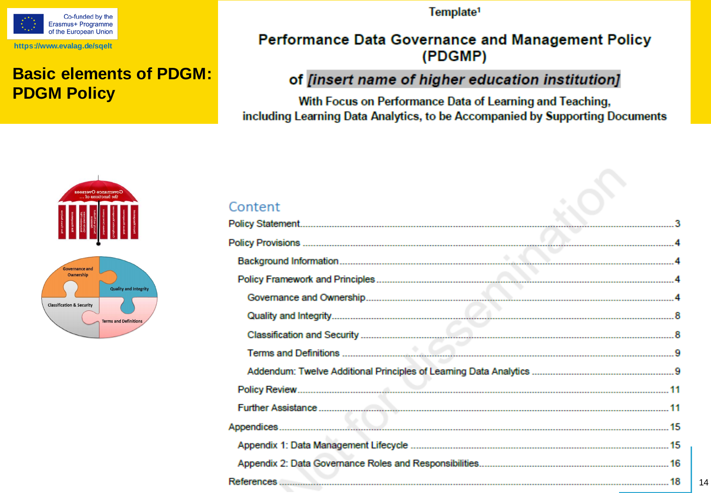

### **Basic elements of PDGM: PDGM Policy**

Template<sup>1</sup>

#### Performance Data Governance and Management Policy (PDGMP)

#### of [insert name of higher education institution]

With Focus on Performance Data of Learning and Teaching, including Learning Data Analytics, to be Accompanied by Supporting Documents



#### Content

| 14 |
|----|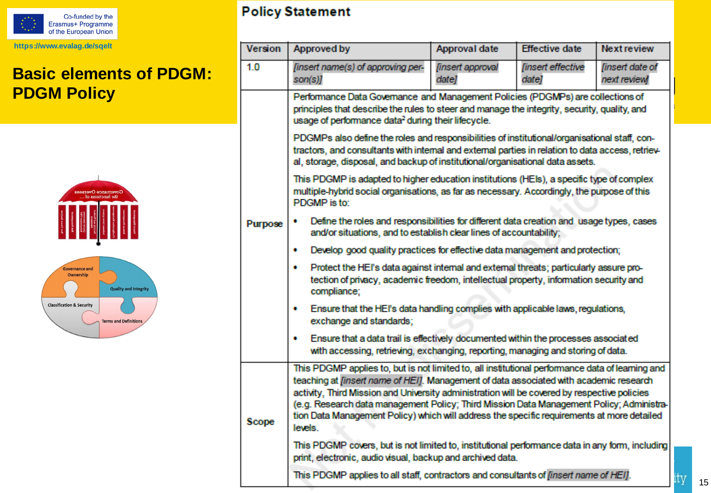

## **Basic elements of PDGM: PDGM Policy**





#### **Policy Statement**

| 1.0<br>[insert name(s) of approving per-<br>[insert approval<br><b>finsert</b> effective<br><b>finsert</b> date of<br>date]<br>next review]<br>son(s)]<br>date]<br>Performance Data Governance and Management Policies (PDGMPs) are collections of<br>principles that describe the rules to steer and manage the integrity, security, quality, and<br>usage of performance data <sup>2</sup> during their lifecycle.<br>PDGMPs also define the roles and responsibilities of institutional/organisational staff, con-<br>tractors, and consultants with internal and external parties in relation to data access, retriey-<br>al, storage, disposal, and backup of institutional/organisational data assets.<br>This PDGMP is adapted to higher education institutions (HEIs), a specific type of complex<br>multiple-hybrid social organisations, as far as necessary. Accordingly, the purpose of this<br>PDGMP is to:<br>Define the roles and responsibilities for different data creation and usage types, cases<br>Purpose<br>and/or situations, and to establish clear lines of accountability;<br>Develop good quality practices for effective data management and protection;<br>٠<br>Protect the HEI's data against internal and external threats; particularly assure pro-<br>٠<br>tection of privacy, academic freedom, intellectual property, information security and<br>compliance;<br>Ensure that the HEI's data handling complies with applicable laws, regulations,<br>۰<br>exchange and standards;<br>Ensure that a data trail is effectively documented within the processes associated<br>۰<br>with accessing, retrieving, exchanging, reporting, managing and storing of data.<br>This PDGMP applies to, but is not limited to, all institutional performance data of learning and | Version |  |  |  |
|---------------------------------------------------------------------------------------------------------------------------------------------------------------------------------------------------------------------------------------------------------------------------------------------------------------------------------------------------------------------------------------------------------------------------------------------------------------------------------------------------------------------------------------------------------------------------------------------------------------------------------------------------------------------------------------------------------------------------------------------------------------------------------------------------------------------------------------------------------------------------------------------------------------------------------------------------------------------------------------------------------------------------------------------------------------------------------------------------------------------------------------------------------------------------------------------------------------------------------------------------------------------------------------------------------------------------------------------------------------------------------------------------------------------------------------------------------------------------------------------------------------------------------------------------------------------------------------------------------------------------------------------------------------------------------------------------------------------------------------------------------------------------------------------------------|---------|--|--|--|
|                                                                                                                                                                                                                                                                                                                                                                                                                                                                                                                                                                                                                                                                                                                                                                                                                                                                                                                                                                                                                                                                                                                                                                                                                                                                                                                                                                                                                                                                                                                                                                                                                                                                                                                                                                                                         |         |  |  |  |
|                                                                                                                                                                                                                                                                                                                                                                                                                                                                                                                                                                                                                                                                                                                                                                                                                                                                                                                                                                                                                                                                                                                                                                                                                                                                                                                                                                                                                                                                                                                                                                                                                                                                                                                                                                                                         |         |  |  |  |
|                                                                                                                                                                                                                                                                                                                                                                                                                                                                                                                                                                                                                                                                                                                                                                                                                                                                                                                                                                                                                                                                                                                                                                                                                                                                                                                                                                                                                                                                                                                                                                                                                                                                                                                                                                                                         |         |  |  |  |
|                                                                                                                                                                                                                                                                                                                                                                                                                                                                                                                                                                                                                                                                                                                                                                                                                                                                                                                                                                                                                                                                                                                                                                                                                                                                                                                                                                                                                                                                                                                                                                                                                                                                                                                                                                                                         |         |  |  |  |
|                                                                                                                                                                                                                                                                                                                                                                                                                                                                                                                                                                                                                                                                                                                                                                                                                                                                                                                                                                                                                                                                                                                                                                                                                                                                                                                                                                                                                                                                                                                                                                                                                                                                                                                                                                                                         |         |  |  |  |
|                                                                                                                                                                                                                                                                                                                                                                                                                                                                                                                                                                                                                                                                                                                                                                                                                                                                                                                                                                                                                                                                                                                                                                                                                                                                                                                                                                                                                                                                                                                                                                                                                                                                                                                                                                                                         |         |  |  |  |
|                                                                                                                                                                                                                                                                                                                                                                                                                                                                                                                                                                                                                                                                                                                                                                                                                                                                                                                                                                                                                                                                                                                                                                                                                                                                                                                                                                                                                                                                                                                                                                                                                                                                                                                                                                                                         |         |  |  |  |
|                                                                                                                                                                                                                                                                                                                                                                                                                                                                                                                                                                                                                                                                                                                                                                                                                                                                                                                                                                                                                                                                                                                                                                                                                                                                                                                                                                                                                                                                                                                                                                                                                                                                                                                                                                                                         |         |  |  |  |
|                                                                                                                                                                                                                                                                                                                                                                                                                                                                                                                                                                                                                                                                                                                                                                                                                                                                                                                                                                                                                                                                                                                                                                                                                                                                                                                                                                                                                                                                                                                                                                                                                                                                                                                                                                                                         |         |  |  |  |
| teaching at <i>[insert name of HEI]</i> . Management of data associated with academic research<br>activity, Third Mission and University administration will be covered by respective policies<br>(e.g. Research data management Policy; Third Mission Data Management Policy; Administra-<br>tion Data Management Policy) which will address the specific requirements at more detailed<br>Scope<br>levels.                                                                                                                                                                                                                                                                                                                                                                                                                                                                                                                                                                                                                                                                                                                                                                                                                                                                                                                                                                                                                                                                                                                                                                                                                                                                                                                                                                                            |         |  |  |  |
| This PDGMP covers, but is not limited to, institutional performance data in any form, including<br>print, electronic, audio visual, backup and archived data.                                                                                                                                                                                                                                                                                                                                                                                                                                                                                                                                                                                                                                                                                                                                                                                                                                                                                                                                                                                                                                                                                                                                                                                                                                                                                                                                                                                                                                                                                                                                                                                                                                           |         |  |  |  |
| This PDGMP applies to all staff, contractors and consultants of <i>[insert name of HEI]</i> .<br>ity<br>15                                                                                                                                                                                                                                                                                                                                                                                                                                                                                                                                                                                                                                                                                                                                                                                                                                                                                                                                                                                                                                                                                                                                                                                                                                                                                                                                                                                                                                                                                                                                                                                                                                                                                              |         |  |  |  |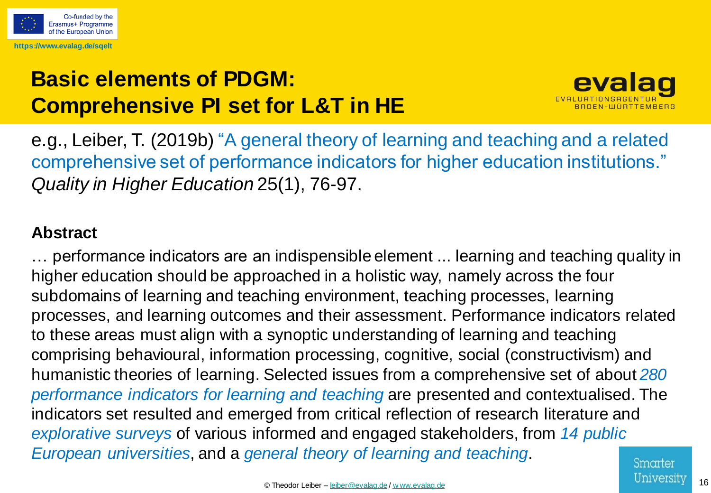

# **Basic elements of PDGM: Comprehensive PI set for L&T in HE**



e.g., Leiber, T. (2019b) "A general theory of learning and teaching and a related comprehensive set of performance indicators for higher education institutions." *Quality in Higher Education* 25(1), 76-97.

### **Abstract**

… performance indicators are an indispensible element ... learning and teaching quality in higher education should be approached in a holistic way, namely across the four subdomains of learning and teaching environment, teaching processes, learning processes, and learning outcomes and their assessment. Performance indicators related to these areas must align with a synoptic understanding of learning and teaching comprising behavioural, information processing, cognitive, social (constructivism) and humanistic theories of learning. Selected issues from a comprehensive set of about *280 performance indicators for learning and teaching* are presented and contextualised. The indicators set resulted and emerged from critical reflection of research literature and *explorative surveys* of various informed and engaged stakeholders, from *14 public European universities*, and a *general theory of learning and teaching*.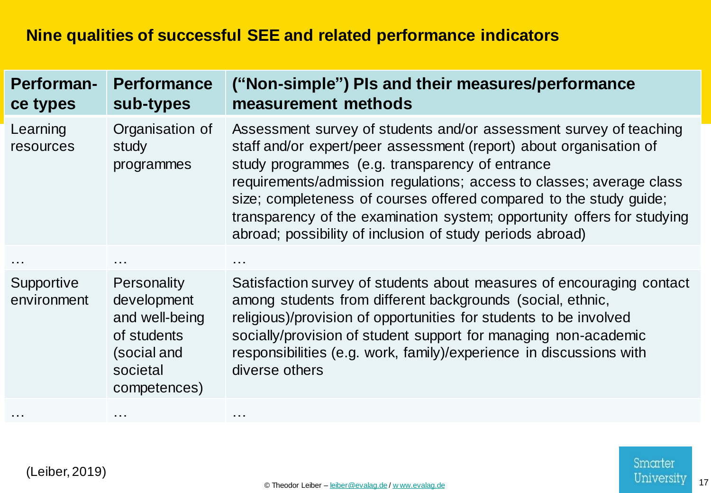| <b>Performan-</b><br>ce types | <b>Performance</b><br>sub-types                                                                               | ("Non-simple") Pls and their measures/performance<br>measurement methods                                                                                                                                                                                                                                                                                                                                                                                                          |
|-------------------------------|---------------------------------------------------------------------------------------------------------------|-----------------------------------------------------------------------------------------------------------------------------------------------------------------------------------------------------------------------------------------------------------------------------------------------------------------------------------------------------------------------------------------------------------------------------------------------------------------------------------|
| Learning<br>resources         | Organisation of<br>study<br>programmes                                                                        | Assessment survey of students and/or assessment survey of teaching<br>staff and/or expert/peer assessment (report) about organisation of<br>study programmes (e.g. transparency of entrance<br>requirements/admission regulations; access to classes; average class<br>size; completeness of courses offered compared to the study guide;<br>transparency of the examination system; opportunity offers for studying<br>abroad; possibility of inclusion of study periods abroad) |
|                               |                                                                                                               |                                                                                                                                                                                                                                                                                                                                                                                                                                                                                   |
| Supportive<br>environment     | <b>Personality</b><br>development<br>and well-being<br>of students<br>(social and<br>societal<br>competences) | Satisfaction survey of students about measures of encouraging contact<br>among students from different backgrounds (social, ethnic,<br>religious)/provision of opportunities for students to be involved<br>socially/provision of student support for managing non-academic<br>responsibilities (e.g. work, family)/experience in discussions with<br>diverse others                                                                                                              |
|                               | $\begin{array}{ccc} \bullet & \bullet & \bullet \end{array}$                                                  |                                                                                                                                                                                                                                                                                                                                                                                                                                                                                   |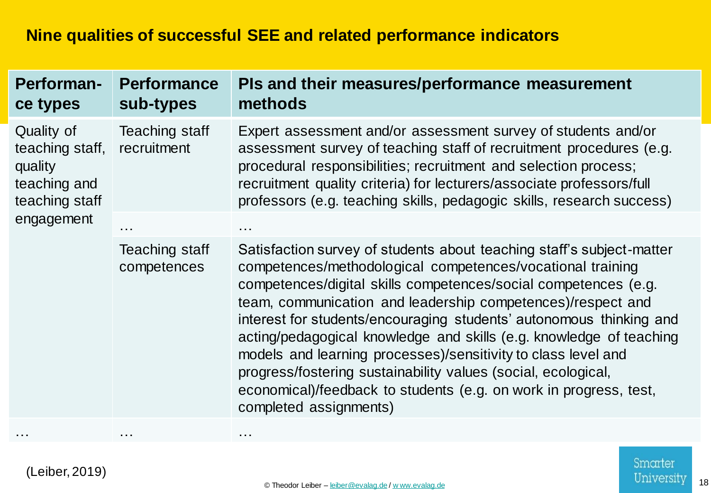| <b>Performan-</b><br>ce types                                              | <b>Performance</b><br>sub-types | PIs and their measures/performance measurement<br>methods                                                                                                                                                                                                                                                                                                                                                                                                                                                                                                                                                                                            |
|----------------------------------------------------------------------------|---------------------------------|------------------------------------------------------------------------------------------------------------------------------------------------------------------------------------------------------------------------------------------------------------------------------------------------------------------------------------------------------------------------------------------------------------------------------------------------------------------------------------------------------------------------------------------------------------------------------------------------------------------------------------------------------|
| Quality of<br>teaching staff,<br>quality<br>teaching and<br>teaching staff | Teaching staff<br>recruitment   | Expert assessment and/or assessment survey of students and/or<br>assessment survey of teaching staff of recruitment procedures (e.g.<br>procedural responsibilities; recruitment and selection process;<br>recruitment quality criteria) for lecturers/associate professors/full<br>professors (e.g. teaching skills, pedagogic skills, research success)                                                                                                                                                                                                                                                                                            |
| engagement                                                                 | $\cdots$                        |                                                                                                                                                                                                                                                                                                                                                                                                                                                                                                                                                                                                                                                      |
|                                                                            | Teaching staff<br>competences   | Satisfaction survey of students about teaching staff's subject-matter<br>competences/methodological competences/vocational training<br>competences/digital skills competences/social competences (e.g.<br>team, communication and leadership competences)/respect and<br>interest for students/encouraging students' autonomous thinking and<br>acting/pedagogical knowledge and skills (e.g. knowledge of teaching<br>models and learning processes)/sensitivity to class level and<br>progress/fostering sustainability values (social, ecological,<br>economical)/feedback to students (e.g. on work in progress, test,<br>completed assignments) |
|                                                                            | $\sim$ $\sim$ $\sim$            |                                                                                                                                                                                                                                                                                                                                                                                                                                                                                                                                                                                                                                                      |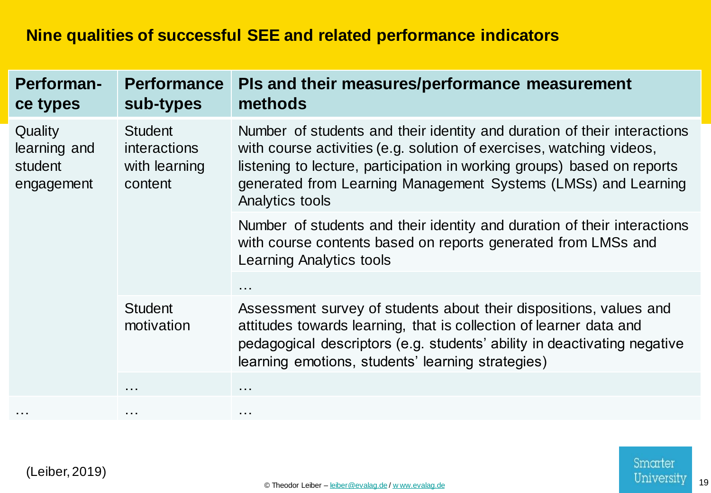| <b>Performan-</b><br>ce types                    | <b>Performance</b><br>sub-types                            | PIs and their measures/performance measurement<br>methods                                                                                                                                                                                                                                                        |
|--------------------------------------------------|------------------------------------------------------------|------------------------------------------------------------------------------------------------------------------------------------------------------------------------------------------------------------------------------------------------------------------------------------------------------------------|
| Quality<br>learning and<br>student<br>engagement | <b>Student</b><br>interactions<br>with learning<br>content | Number of students and their identity and duration of their interactions<br>with course activities (e.g. solution of exercises, watching videos,<br>listening to lecture, participation in working groups) based on reports<br>generated from Learning Management Systems (LMSs) and Learning<br>Analytics tools |
|                                                  |                                                            | Number of students and their identity and duration of their interactions<br>with course contents based on reports generated from LMSs and<br><b>Learning Analytics tools</b>                                                                                                                                     |
|                                                  |                                                            | $\sim$ $\sim$ $\sim$                                                                                                                                                                                                                                                                                             |
|                                                  | <b>Student</b><br>motivation                               | Assessment survey of students about their dispositions, values and<br>attitudes towards learning, that is collection of learner data and<br>pedagogical descriptors (e.g. students' ability in deactivating negative<br>learning emotions, students' learning strategies)                                        |
|                                                  | .                                                          | $\cdots$                                                                                                                                                                                                                                                                                                         |
|                                                  | $\sim$ $\sim$ $\sim$                                       | $\cdots$                                                                                                                                                                                                                                                                                                         |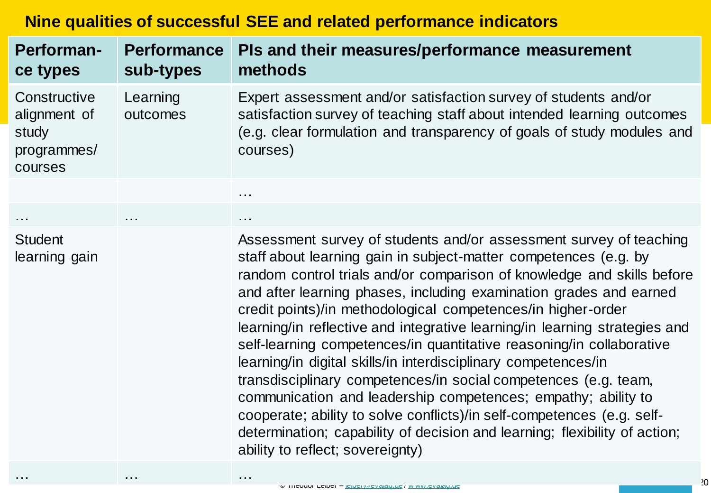| Performan-<br>ce types                                          | <b>Performance</b><br>sub-types | PIs and their measures/performance measurement<br>methods                                                                                                                                                                                                                                                                                                                                                                                                                                                                                                                                                                                                                                                                                                                                                                                                                                                      |
|-----------------------------------------------------------------|---------------------------------|----------------------------------------------------------------------------------------------------------------------------------------------------------------------------------------------------------------------------------------------------------------------------------------------------------------------------------------------------------------------------------------------------------------------------------------------------------------------------------------------------------------------------------------------------------------------------------------------------------------------------------------------------------------------------------------------------------------------------------------------------------------------------------------------------------------------------------------------------------------------------------------------------------------|
| Constructive<br>alignment of<br>study<br>programmes/<br>courses | Learning<br>outcomes            | Expert assessment and/or satisfaction survey of students and/or<br>satisfaction survey of teaching staff about intended learning outcomes<br>(e.g. clear formulation and transparency of goals of study modules and<br>courses)                                                                                                                                                                                                                                                                                                                                                                                                                                                                                                                                                                                                                                                                                |
|                                                                 |                                 | $\sim$ $\sim$ $\sim$                                                                                                                                                                                                                                                                                                                                                                                                                                                                                                                                                                                                                                                                                                                                                                                                                                                                                           |
| $\sim$ $\sim$ $\sim$                                            | .                               | $\sim 100$                                                                                                                                                                                                                                                                                                                                                                                                                                                                                                                                                                                                                                                                                                                                                                                                                                                                                                     |
| <b>Student</b><br>learning gain                                 |                                 | Assessment survey of students and/or assessment survey of teaching<br>staff about learning gain in subject-matter competences (e.g. by<br>random control trials and/or comparison of knowledge and skills before<br>and after learning phases, including examination grades and earned<br>credit points)/in methodological competences/in higher-order<br>learning/in reflective and integrative learning/in learning strategies and<br>self-learning competences/in quantitative reasoning/in collaborative<br>learning/in digital skills/in interdisciplinary competences/in<br>transdisciplinary competences/in social competences (e.g. team,<br>communication and leadership competences; empathy; ability to<br>cooperate; ability to solve conflicts)/in self-competences (e.g. self-<br>determination; capability of decision and learning; flexibility of action;<br>ability to reflect; sovereignty) |

(Leiber, 2019)

… … …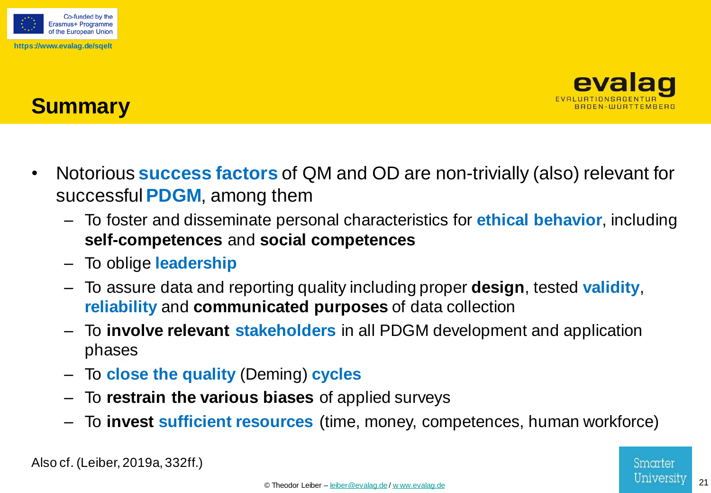



# **Summary**

- Notorious **success factors** of QM and OD are non-trivially (also) relevant for successful **PDGM**, among them
	- To foster and disseminate personal characteristics for **ethical behavior**, including **self-competences** and **social competences**
	- To oblige **leadership**
	- To assure data and reporting quality including proper **design**, tested **validity**, **reliability** and **communicated purposes** of data collection
	- To **involve relevant stakeholders** in all PDGM development and application phases
	- To **close the quality** (Deming) **cycles**
	- To **restrain the various biases** of applied surveys
	- To **invest sufficient resources** (time, money, competences, human workforce)

Also cf. (Leiber, 2019a, 332ff.)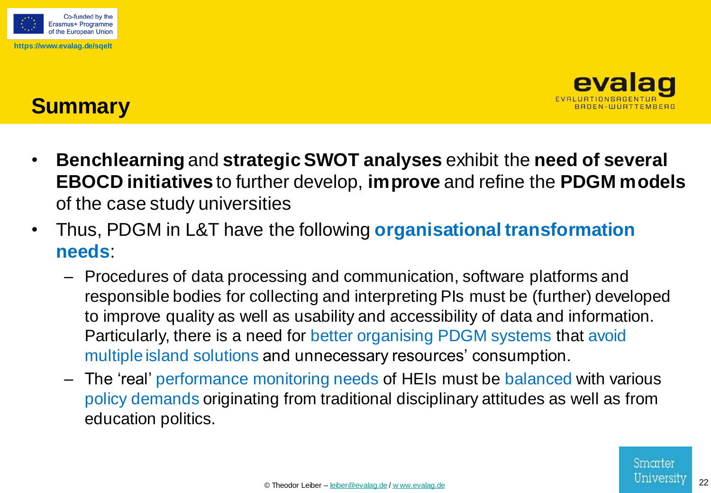



# **Summary**

- **Benchlearning** and **strategic SWOT analyses** exhibit the **need of several EBOCD initiatives** to further develop, **improve** and refine the **PDGM models**  of the case study universities
- Thus, PDGM in L&T have the following **organisational transformation needs**:
	- Procedures of data processing and communication, software platforms and responsible bodies for collecting and interpreting PIs must be (further) developed to improve quality as well as usability and accessibility of data and information. Particularly, there is a need for better organising PDGM systems that avoid multiple island solutions and unnecessary resources' consumption.
	- The 'real' performance monitoring needs of HEIs must be balanced with various policy demands originating from traditional disciplinary attitudes as well as from education politics.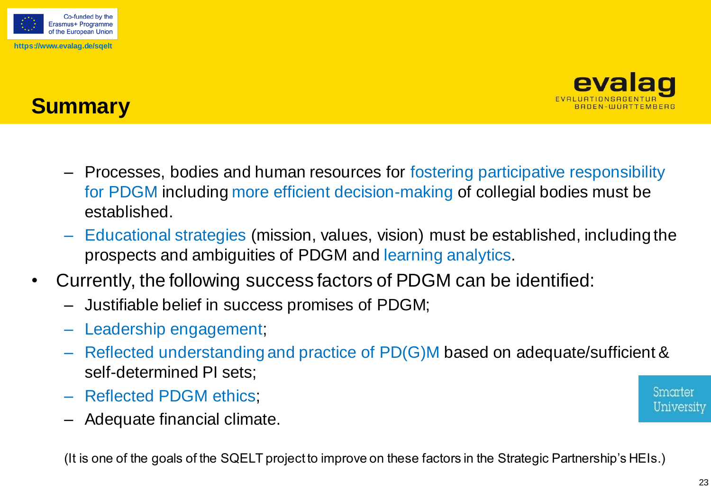



# **Summary**

- Processes, bodies and human resources for fostering participative responsibility for PDGM including more efficient decision-making of collegial bodies must be established.
- Educational strategies (mission, values, vision) must be established, including the prospects and ambiguities of PDGM and learning analytics.
- Currently, the following success factors of PDGM can be identified:
	- Justifiable belief in success promises of PDGM;
	- Leadership engagement;
	- Reflected understanding and practice of PD(G)M based on adequate/sufficient & self-determined PI sets;
	- Reflected PDGM ethics;
	- Adequate financial climate.

(It is one of the goals of the SQELT project to improve on these factors in the Strategic Partnership's HEIs.)

Smarter University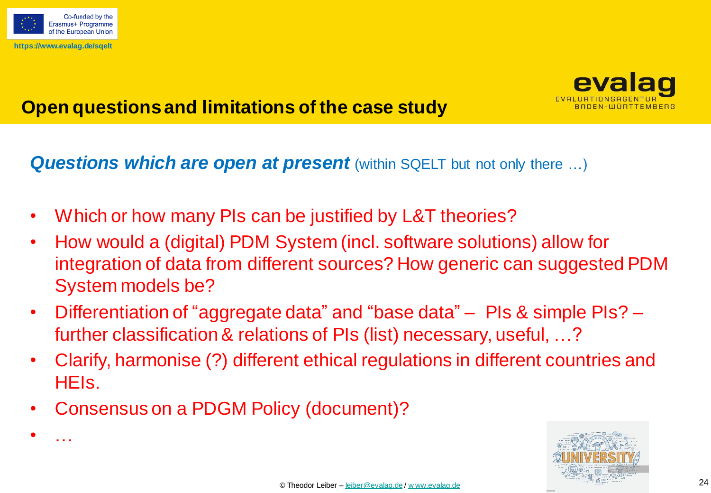

• …



## **Open questions and limitations of the case study**

**Questions which are open at present** (within SQELT but not only there ...)

- Which or how many PIs can be justified by L&T theories?
- How would a (digital) PDM System (incl. software solutions) allow for integration of data from different sources? How generic can suggested PDM System models be?
- Differentiation of "aggregate data" and "base data" PIs & simple PIs? further classification& relations of PIs (list) necessary, useful, …?
- Clarify, harmonise (?) different ethical regulations in different countries and HEIs.
- Consensus on a PDGM Policy (document)?